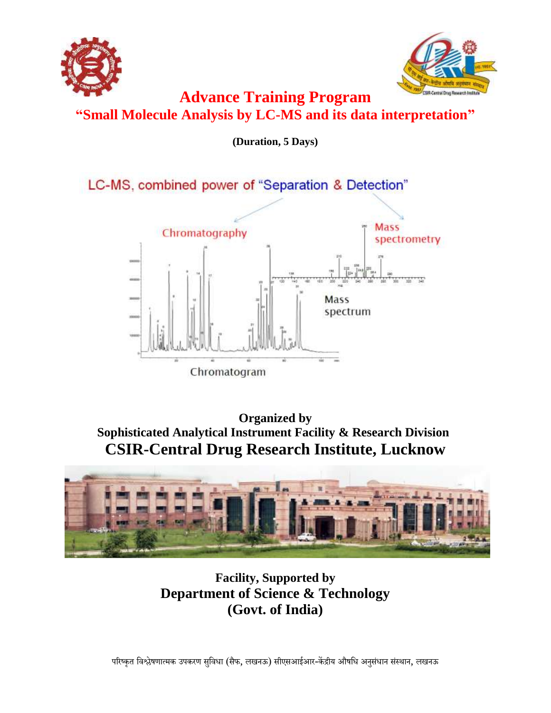



**Advance Training Program "Small Molecule Analysis by LC-MS and its data interpretation"** 

**(Duration, 5 Days)**

LC-MS, combined power of "Separation & Detection"



**Organized by Sophisticated Analytical Instrument Facility & Research Division CSIR-Central Drug Research Institute, Lucknow**



**Facility, Supported by Department of Science & Technology (Govt. of India)**

परिष्कृत विश्लेषणात्मक उपकरण सुविधा (सैफ, लखनऊ) सीएसआईआर-केंद्रीय औषधि अनुसंधान संस्थान, लखनऊ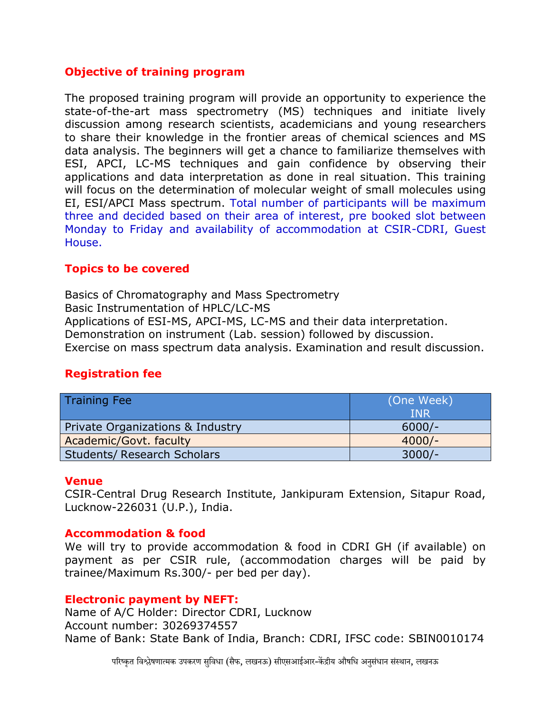# **Objective of training program**

The proposed training program will provide an opportunity to experience the state-of-the-art mass spectrometry (MS) techniques and initiate lively discussion among research scientists, academicians and young researchers to share their knowledge in the frontier areas of chemical sciences and MS data analysis. The beginners will get a chance to familiarize themselves with ESI, APCI, LC-MS techniques and gain confidence by observing their applications and data interpretation as done in real situation. This training will focus on the determination of molecular weight of small molecules using EI, ESI/APCI Mass spectrum. Total number of participants will be maximum three and decided based on their area of interest, pre booked slot between Monday to Friday and availability of accommodation at CSIR-CDRI, Guest House.

# **Topics to be covered**

Basics of Chromatography and Mass Spectrometry Basic Instrumentation of HPLC/LC-MS Applications of ESI-MS, APCI-MS, LC-MS and their data interpretation. Demonstration on instrument (Lab. session) followed by discussion. Exercise on mass spectrum data analysis. Examination and result discussion.

# **Registration fee**

| <b>Training Fee</b>                | (One Week)<br><b>INR</b> |
|------------------------------------|--------------------------|
| Private Organizations & Industry   | $6000/-$                 |
| Academic/Govt. faculty             | $4000/-$                 |
| <b>Students/ Research Scholars</b> | $3000/-$                 |

## **Venue**

CSIR-Central Drug Research Institute, Jankipuram Extension, Sitapur Road, Lucknow-226031 (U.P.), India.

## **Accommodation & food**

We will try to provide accommodation & food in CDRI GH (if available) on payment as per CSIR rule, (accommodation charges will be paid by trainee/Maximum Rs.300/- per bed per day).

### **Electronic payment by NEFT:**

Name of A/C Holder: Director CDRI, Lucknow Account number: 30269374557 Name of Bank: State Bank of India, Branch: CDRI, IFSC code: SBIN0010174

परिष्कृत विश्लेषणात्मक उपकरण सविधा (सैफ, लखनऊ) सीएसआईआर-केंद्रीय औषधि अनसंधान संस्थान, लखनऊ